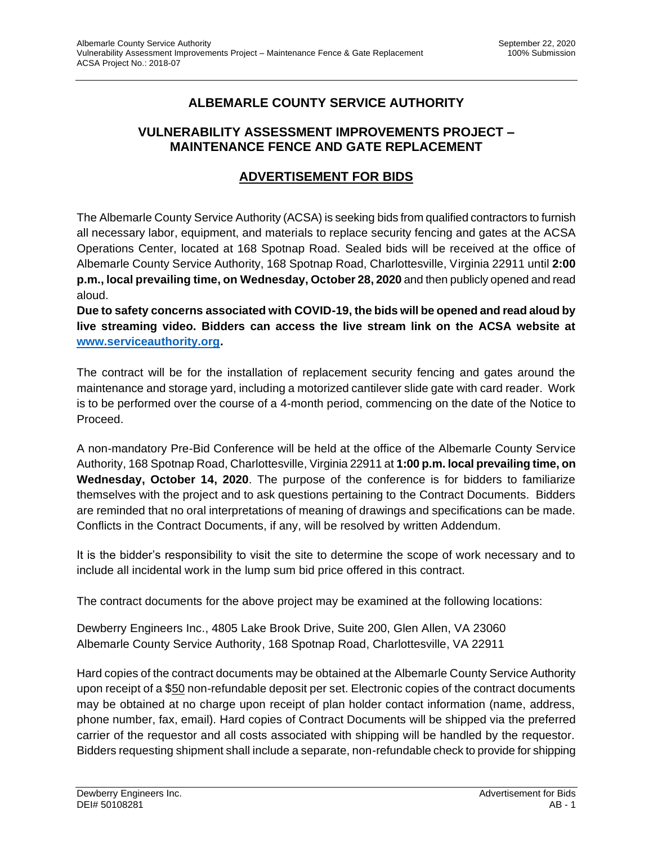## **ALBEMARLE COUNTY SERVICE AUTHORITY**

## **VULNERABILITY ASSESSMENT IMPROVEMENTS PROJECT – MAINTENANCE FENCE AND GATE REPLACEMENT**

## **ADVERTISEMENT FOR BIDS**

The Albemarle County Service Authority (ACSA) is seeking bids from qualified contractors to furnish all necessary labor, equipment, and materials to replace security fencing and gates at the ACSA Operations Center, located at 168 Spotnap Road. Sealed bids will be received at the office of Albemarle County Service Authority, 168 Spotnap Road, Charlottesville, Virginia 22911 until **2:00 p.m., local prevailing time, on Wednesday, October 28, 2020** and then publicly opened and read aloud.

**Due to safety concerns associated with COVID-19, the bids will be opened and read aloud by live streaming video. Bidders can access the live stream link on the ACSA website at [www.serviceauthority.org.](http://www.serviceauthority.org/)**

The contract will be for the installation of replacement security fencing and gates around the maintenance and storage yard, including a motorized cantilever slide gate with card reader. Work is to be performed over the course of a 4-month period, commencing on the date of the Notice to Proceed.

A non-mandatory Pre-Bid Conference will be held at the office of the Albemarle County Service Authority, 168 Spotnap Road, Charlottesville, Virginia 22911 at **1:00 p.m. local prevailing time, on Wednesday, October 14, 2020**. The purpose of the conference is for bidders to familiarize themselves with the project and to ask questions pertaining to the Contract Documents. Bidders are reminded that no oral interpretations of meaning of drawings and specifications can be made. Conflicts in the Contract Documents, if any, will be resolved by written Addendum.

It is the bidder's responsibility to visit the site to determine the scope of work necessary and to include all incidental work in the lump sum bid price offered in this contract.

The contract documents for the above project may be examined at the following locations:

Dewberry Engineers Inc., 4805 Lake Brook Drive, Suite 200, Glen Allen, VA 23060 Albemarle County Service Authority, 168 Spotnap Road, Charlottesville, VA 22911

Hard copies of the contract documents may be obtained at the Albemarle County Service Authority upon receipt of a \$50 non-refundable deposit per set. Electronic copies of the contract documents may be obtained at no charge upon receipt of plan holder contact information (name, address, phone number, fax, email). Hard copies of Contract Documents will be shipped via the preferred carrier of the requestor and all costs associated with shipping will be handled by the requestor. Bidders requesting shipment shall include a separate, non-refundable check to provide for shipping